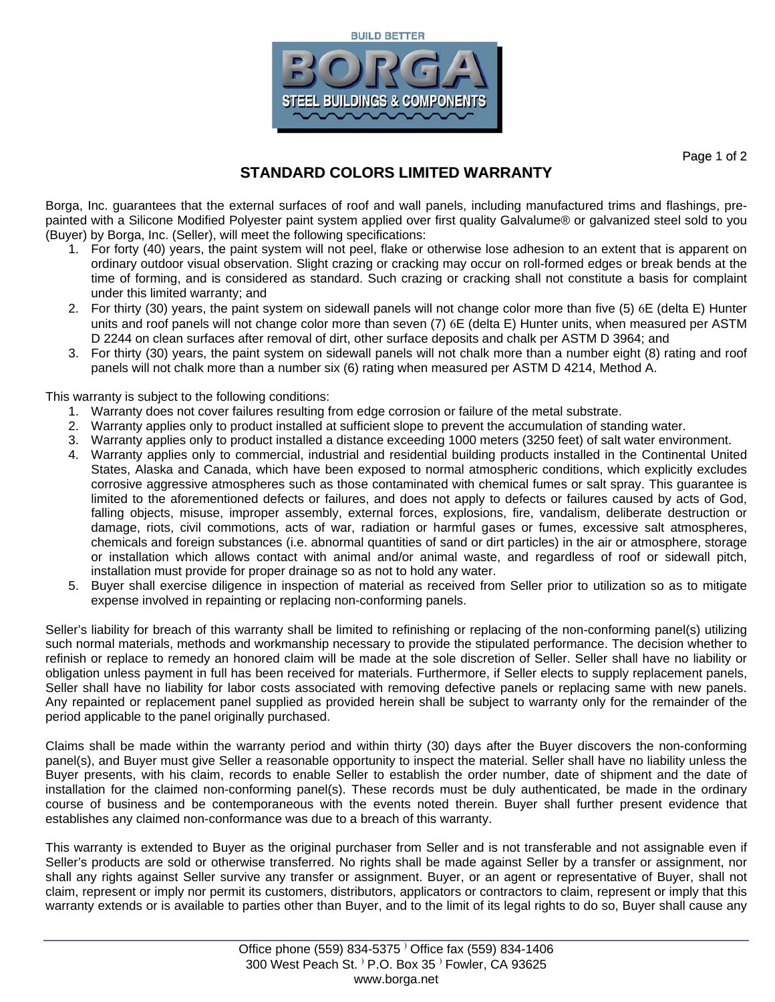



Page 1 of 2

## **STANDARD COLORS LIMITED WARRANTY**

Borga, Inc. guarantees that the external surfaces of roof and wall panels, including manufactured trims and flashings, prepainted with a Silicone Modified Polyester paint system applied over first quality Galvalume® or galvanized steel sold to you (Buyer) by Borga, Inc. (Seller), will meet the following specifications:

- 1. For forty (40) years, the paint system will not peel, flake or otherwise lose adhesion to an extent that is apparent on ordinary outdoor visual observation. Slight crazing or cracking may occur on roll-formed edges or break bends at the time of forming, and is considered as standard. Such crazing or cracking shall not constitute a basis for complaint under this limited warranty; and
- 2. For thirty (30) years, the paint system on sidewall panels will not change color more than five (5) 6E (delta E) Hunter units and roof panels will not change color more than seven (7) 6E (delta E) Hunter units, when measured per ASTM D 2244 on clean surfaces after removal of dirt, other surface deposits and chalk per ASTM D 3964; and
- 3. For thirty (30) years, the paint system on sidewall panels will not chalk more than a number eight (8) rating and roof panels will not chalk more than a number six (6) rating when measured per ASTM D 4214, Method A.

This warranty is subject to the following conditions:

- 1. Warranty does not cover failures resulting from edge corrosion or failure of the metal substrate.
- 2. Warranty applies only to product installed at sufficient slope to prevent the accumulation of standing water.
- 3. Warranty applies only to product installed a distance exceeding 1000 meters (3250 feet) of salt water environment.
- 4. Warranty applies only to commercial, industrial and residential building products installed in the Continental United States, Alaska and Canada, which have been exposed to normal atmospheric conditions, which explicitly excludes corrosive aggressive atmospheres such as those contaminated with chemical fumes or salt spray. This guarantee is limited to the aforementioned defects or failures, and does not apply to defects or failures caused by acts of God, falling objects, misuse, improper assembly, external forces, explosions, fire, vandalism, deliberate destruction or damage, riots, civil commotions, acts of war, radiation or harmful gases or fumes, excessive salt atmospheres, chemicals and foreign substances (i.e. abnormal quantities of sand or dirt particles) in the air or atmosphere, storage or installation which allows contact with animal and/or animal waste, and regardless of roof or sidewall pitch, installation must provide for proper drainage so as not to hold any water.
- 5. Buyer shall exercise diligence in inspection of material as received from Seller prior to utilization so as to mitigate expense involved in repainting or replacing non-conforming panels.

Seller's liability for breach of this warranty shall be limited to refinishing or replacing of the non-conforming panel(s) utilizing such normal materials, methods and workmanship necessary to provide the stipulated performance. The decision whether to refinish or replace to remedy an honored claim will be made at the sole discretion of Seller. Seller shall have no liability or obligation unless payment in full has been received for materials. Furthermore, if Seller elects to supply replacement panels, Seller shall have no liability for labor costs associated with removing defective panels or replacing same with new panels. Any repainted or replacement panel supplied as provided herein shall be subject to warranty only for the remainder of the period applicable to the panel originally purchased.

Claims shall be made within the warranty period and within thirty (30) days after the Buyer discovers the non-conforming panel(s), and Buyer must give Seller a reasonable opportunity to inspect the material. Seller shall have no liability unless the Buyer presents, with his claim, records to enable Seller to establish the order number, date of shipment and the date of installation for the claimed non-conforming panel(s). These records must be duly authenticated, be made in the ordinary course of business and be contemporaneous with the events noted therein. Buyer shall further present evidence that establishes any claimed non-conformance was due to a breach of this warranty.

This warranty is extended to Buyer as the original purchaser from Seller and is not transferable and not assignable even if Seller's products are sold or otherwise transferred. No rights shall be made against Seller by a transfer or assignment, nor shall any rights against Seller survive any transfer or assignment. Buyer, or an agent or representative of Buyer, shall not claim, represent or imply nor permit its customers, distributors, applicators or contractors to claim, represent or imply that this warranty extends or is available to parties other than Buyer, and to the limit of its legal rights to do so, Buyer shall cause any